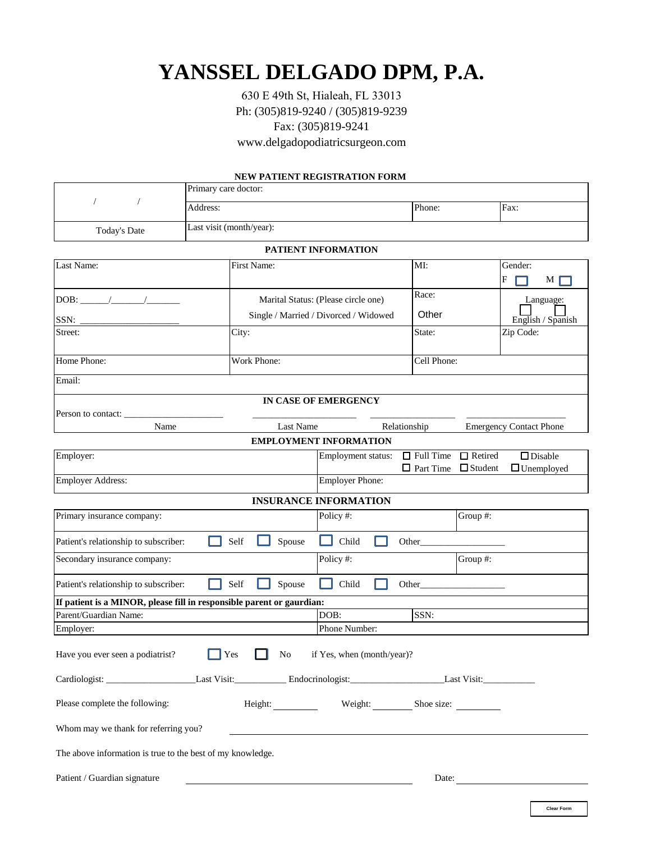## 630 E 49th St, Hialeah, FL 33013 Ph: (305)819-9240 / (305)819-9239 Fax: (305)819-9241 www.delgadopodiatricsurgeon.com

### **NEW PATIENT REGISTRATION FORM**

|                                                                       |             | Primary care doctor:     |                                                                              |                               |        |                                      |                                  |                                        |  |
|-----------------------------------------------------------------------|-------------|--------------------------|------------------------------------------------------------------------------|-------------------------------|--------|--------------------------------------|----------------------------------|----------------------------------------|--|
|                                                                       | Address:    |                          |                                                                              |                               |        | Phone:                               |                                  | Fax:                                   |  |
| <b>Today's Date</b>                                                   |             | Last visit (month/year): |                                                                              |                               |        |                                      |                                  |                                        |  |
|                                                                       |             |                          |                                                                              | <b>PATIENT INFORMATION</b>    |        |                                      |                                  |                                        |  |
| Last Name:                                                            | First Name: |                          |                                                                              | MI:                           |        |                                      |                                  | Gender:<br>F<br>M                      |  |
| SSN:                                                                  |             |                          | Marital Status: (Please circle one)<br>Single / Married / Divorced / Widowed |                               |        | Race:<br>Other                       |                                  | Language:<br>English / Spanish         |  |
| Street:<br>City:                                                      |             |                          |                                                                              |                               | State: |                                      | Zip Code:                        |                                        |  |
| Home Phone:                                                           | Work Phone: |                          |                                                                              |                               |        | Cell Phone:                          |                                  |                                        |  |
| Email:                                                                |             |                          |                                                                              |                               |        |                                      |                                  |                                        |  |
|                                                                       |             |                          |                                                                              | <b>IN CASE OF EMERGENCY</b>   |        |                                      |                                  |                                        |  |
| Name                                                                  |             |                          | Last Name                                                                    |                               |        | Relationship                         |                                  | <b>Emergency Contact Phone</b>         |  |
|                                                                       |             |                          |                                                                              | <b>EMPLOYMENT INFORMATION</b> |        |                                      |                                  |                                        |  |
| Employer:                                                             |             |                          |                                                                              | Employment status:            |        | $\Box$ Full Time<br>$\Box$ Part Time | $\Box$ Retired<br>$\Box$ Student | $\square$ Disable<br>$\Box$ Unemployed |  |
| <b>Employer Address:</b>                                              |             |                          |                                                                              | <b>Employer Phone:</b>        |        |                                      |                                  |                                        |  |
|                                                                       |             |                          |                                                                              | <b>INSURANCE INFORMATION</b>  |        |                                      |                                  |                                        |  |
| Primary insurance company:                                            |             |                          |                                                                              | Policy #:                     |        |                                      | Group #:                         |                                        |  |
| Patient's relationship to subscriber:                                 |             | Self                     | Spouse                                                                       | Child                         |        | Other                                |                                  |                                        |  |
| Secondary insurance company:                                          |             |                          |                                                                              | Policy #:                     |        |                                      | Group #:                         |                                        |  |
| Patient's relationship to subscriber:                                 |             | Self                     | Spouse                                                                       | Child                         |        | Other                                |                                  |                                        |  |
| If patient is a MINOR, please fill in responsible parent or gaurdian: |             |                          |                                                                              |                               |        |                                      |                                  |                                        |  |
| Parent/Guardian Name:<br>Employer:                                    |             |                          |                                                                              | DOB:<br>Phone Number:         |        | SSN:                                 |                                  |                                        |  |
| Have you ever seen a podiatrist?                                      |             | Yes                      | No                                                                           | if Yes, when (month/year)?    |        |                                      |                                  |                                        |  |
|                                                                       |             |                          |                                                                              |                               |        |                                      |                                  |                                        |  |
| Please complete the following:                                        |             |                          |                                                                              |                               |        | Weight: Shoe size:                   |                                  |                                        |  |
| Whom may we thank for referring you?                                  |             |                          |                                                                              |                               |        |                                      |                                  |                                        |  |
| The above information is true to the best of my knowledge.            |             |                          |                                                                              |                               |        |                                      |                                  |                                        |  |
| Patient / Guardian signature                                          |             |                          |                                                                              |                               |        | Date:                                |                                  |                                        |  |
|                                                                       |             |                          |                                                                              |                               |        |                                      |                                  |                                        |  |
|                                                                       |             |                          |                                                                              |                               |        |                                      |                                  | Clear Form                             |  |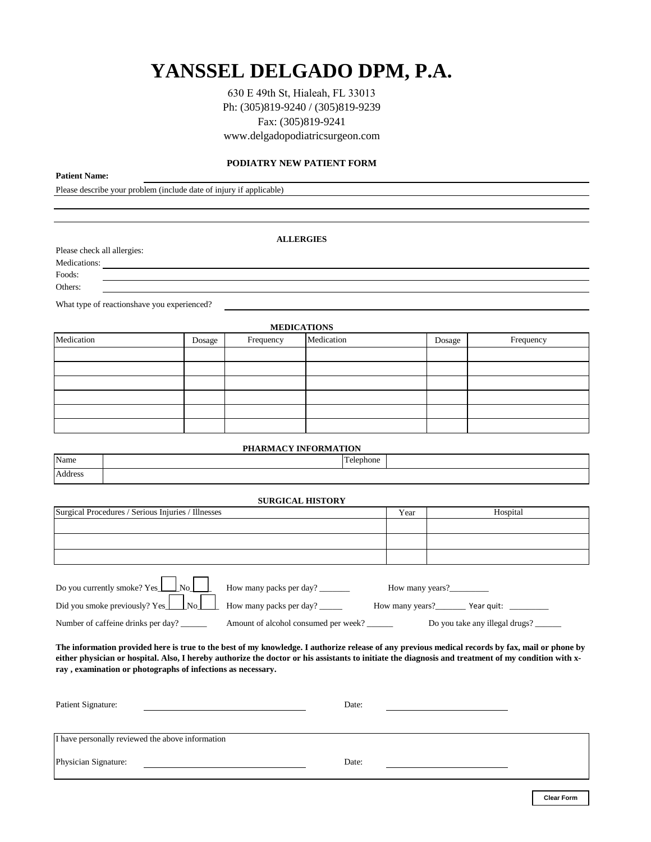630 E 49th St, Hialeah, FL 33013 Ph: (305)819-9240 / (305)819-9239 Fax: (305)819-9241 www.delgadopodiatricsurgeon.com

#### **PODIATRY NEW PATIENT FORM**

**Patient Name:** 

Please describe your problem (include date of injury if applicable)

**ALLERGIES**

Please check all allergies:

Medications: Foods:

Others:

What type of reactionshave you experienced?

I have personally reviewed the above information

Physician Signature: Date: Date: Date: Date:

| Medication | Dosage | Frequency | Medication | Dosage | Frequency |
|------------|--------|-----------|------------|--------|-----------|
|            |        |           |            |        |           |
|            |        |           |            |        |           |
|            |        |           |            |        |           |
|            |        |           |            |        |           |
|            |        |           |            |        |           |
|            |        |           |            |        |           |

#### **PHARMACY INFORMATION**

| Name                 | lephone |  |
|----------------------|---------|--|
| $\mathbf{A}$<br>aare |         |  |

| <b>SURGICAL HISTORY</b>                                                                                                                                                                                                                                                                                                                                               |                                                    |      |                                                                     |  |  |  |
|-----------------------------------------------------------------------------------------------------------------------------------------------------------------------------------------------------------------------------------------------------------------------------------------------------------------------------------------------------------------------|----------------------------------------------------|------|---------------------------------------------------------------------|--|--|--|
| Surgical Procedures / Serious Injuries / Illnesses                                                                                                                                                                                                                                                                                                                    |                                                    | Year | Hospital                                                            |  |  |  |
|                                                                                                                                                                                                                                                                                                                                                                       |                                                    |      |                                                                     |  |  |  |
|                                                                                                                                                                                                                                                                                                                                                                       |                                                    |      |                                                                     |  |  |  |
|                                                                                                                                                                                                                                                                                                                                                                       |                                                    |      |                                                                     |  |  |  |
| Do you currently smoke? $Yes \_ No \_ No$<br>Did you smoke previously? Yes \  No                                                                                                                                                                                                                                                                                      | How many packs per day?<br>How many packs per day? |      | How many years?<br>How many years?___________ Year quit: __________ |  |  |  |
| Number of caffeine drinks per day?                                                                                                                                                                                                                                                                                                                                    |                                                    |      |                                                                     |  |  |  |
| The information provided here is true to the best of my knowledge. I authorize release of any previous medical records by fax, mail or phone by<br>either physician or hospital. Also, I hereby authorize the doctor or his assistants to initiate the diagnosis and treatment of my condition with x-<br>ray, examination or photographs of infections as necessary. |                                                    |      |                                                                     |  |  |  |
| Patient Signature:                                                                                                                                                                                                                                                                                                                                                    | Date:                                              |      |                                                                     |  |  |  |

**Clear Form**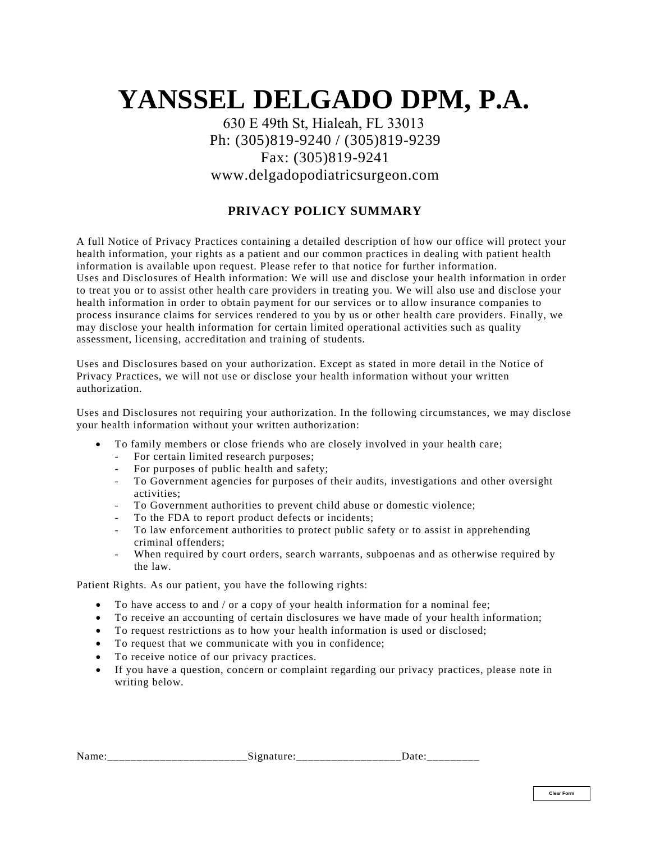## 630 E 49th St, Hialeah, FL 33013 Ph: (305)819-9240 / (305)819-9239 Fax: (305)819-9241 www.delgadopodiatricsurgeon.com

## **PRIVACY POLICY SUMMARY**

A full Notice of Privacy Practices containing a detailed description of how our office will protect your health information, your rights as a patient and our common practices in dealing with patient health information is available upon request. Please refer to that notice for further information. Uses and Disclosures of Health information: We will use and disclose your health information in order to treat you or to assist other health care providers in treating you. We will also use and disclose your health information in order to obtain payment for our services or to allow insurance companies to process insurance claims for services rendered to you by us or other health care providers. Finally, we may disclose your health information for certain limited operational activities such as quality assessment, licensing, accreditation and training of students.

Uses and Disclosures based on your authorization. Except as stated in more detail in the Notice of Privacy Practices, we will not use or disclose your health information without your written authorization.

Uses and Disclosures not requiring your authorization. In the following circumstances, we may disclose your health information without your written authorization:

- To family members or close friends who are closely involved in your health care;
	- For certain limited research purposes;
	- For purposes of public health and safety;
	- To Government agencies for purposes of their audits, investigations and other oversight activities;
	- To Government authorities to prevent child abuse or domestic violence;
	- To the FDA to report product defects or incidents;
	- To law enforcement authorities to protect public safety or to assist in apprehending criminal offenders;
	- When required by court orders, search warrants, subpoenas and as otherwise required by the law.

Patient Rights. As our patient, you have the following rights:

- To have access to and / or a copy of your health information for a nominal fee;
- To receive an accounting of certain disclosures we have made of your health information;
- To request restrictions as to how your health information is used or disclosed;
- To request that we communicate with you in confidence;
- To receive notice of our privacy practices.
- If you have a question, concern or complaint regarding our privacy practices, please note in writing below.